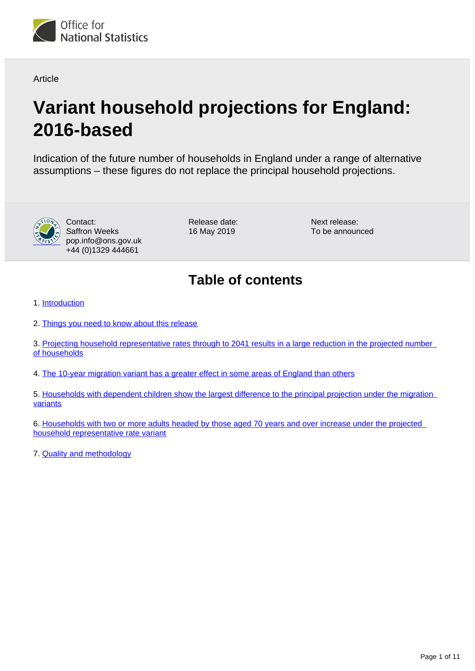<span id="page-0-0"></span>

**Article** 

# **Variant household projections for England: 2016-based**

Indication of the future number of households in England under a range of alternative assumptions – these figures do not replace the principal household projections.



Contact: Saffron Weeks pop.info@ons.gov.uk +44 (0)1329 444661

Release date: 16 May 2019

Next release: To be announced

# **Table of contents**

1. [Introduction](#page-1-0)

2. [Things you need to know about this release](#page-1-1)

3. Projecting household representative rates through to 2041 results in a large reduction in the projected number [of households](#page-2-0)

4. [The 10-year migration variant has a greater effect in some areas of England than others](#page-4-0)

5. [Households with dependent children show the largest difference to the principal projection under the migration](#page-7-0)  [variants](#page-7-0)

6. [Households with two or more adults headed by those aged 70 years and over increase under the projected](#page-8-0)  [household representative rate variant](#page-8-0)

7. [Quality and methodology](#page-9-0)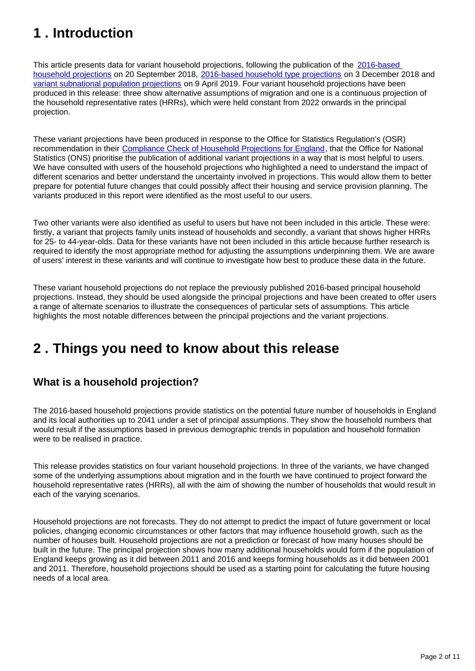# <span id="page-1-0"></span>**1 . Introduction**

This article presents data for variant household projections, following the publication of the 2016-based [household projections](https://www.ons.gov.uk/peoplepopulationandcommunity/populationandmigration/populationprojections/bulletins/2016basedhouseholdprojectionsinengland/2016basedhouseholdprojectionsinengland) on 20 September 2018, [2016-based household type projections](https://www.ons.gov.uk/peoplepopulationandcommunity/populationandmigration/populationprojections/bulletins/2016basedhouseholdprojectionsinengland/2016based) on 3 December 2018 and [variant subnational population projections](https://www.ons.gov.uk/peoplepopulationandcommunity/populationandmigration/populationprojections/bulletins/variantsubnationalpopulationprojectionsforengland/2016based) on 9 April 2019. Four variant household projections have been produced in this release: three show alternative assumptions of migration and one is a continuous projection of the household representative rates (HRRs), which were held constant from 2022 onwards in the principal projection.

These variant projections have been produced in response to the Office for Statistics Regulation's (OSR) recommendation in their [Compliance Check of Household Projections for England,](https://www.statisticsauthority.gov.uk/correspondence/compliance-check-of-household-projections-for-england/) that the Office for National Statistics (ONS) prioritise the publication of additional variant projections in a way that is most helpful to users. We have consulted with users of the household projections who highlighted a need to understand the impact of different scenarios and better understand the uncertainty involved in projections. This would allow them to better prepare for potential future changes that could possibly affect their housing and service provision planning. The variants produced in this report were identified as the most useful to our users.

Two other variants were also identified as useful to users but have not been included in this article. These were: firstly, a variant that projects family units instead of households and secondly, a variant that shows higher HRRs for 25- to 44-year-olds. Data for these variants have not been included in this article because further research is required to identify the most appropriate method for adjusting the assumptions underpinning them. We are aware of users' interest in these variants and will continue to investigate how best to produce these data in the future.

These variant household projections do not replace the previously published 2016-based principal household projections. Instead, they should be used alongside the principal projections and have been created to offer users a range of alternate scenarios to illustrate the consequences of particular sets of assumptions. This article highlights the most notable differences between the principal projections and the variant projections.

# <span id="page-1-1"></span>**2 . Things you need to know about this release**

#### **What is a household projection?**

The 2016-based household projections provide statistics on the potential future number of households in England and its local authorities up to 2041 under a set of principal assumptions. They show the household numbers that would result if the assumptions based in previous demographic trends in population and household formation were to be realised in practice.

This release provides statistics on four variant household projections. In three of the variants, we have changed some of the underlying assumptions about migration and in the fourth we have continued to project forward the household representative rates (HRRs), all with the aim of showing the number of households that would result in each of the varying scenarios.

Household projections are not forecasts. They do not attempt to predict the impact of future government or local policies, changing economic circumstances or other factors that may influence household growth, such as the number of houses built. Household projections are not a prediction or forecast of how many houses should be built in the future. The principal projection shows how many additional households would form if the population of England keeps growing as it did between 2011 and 2016 and keeps forming households as it did between 2001 and 2011. Therefore, household projections should be used as a starting point for calculating the future housing needs of a local area.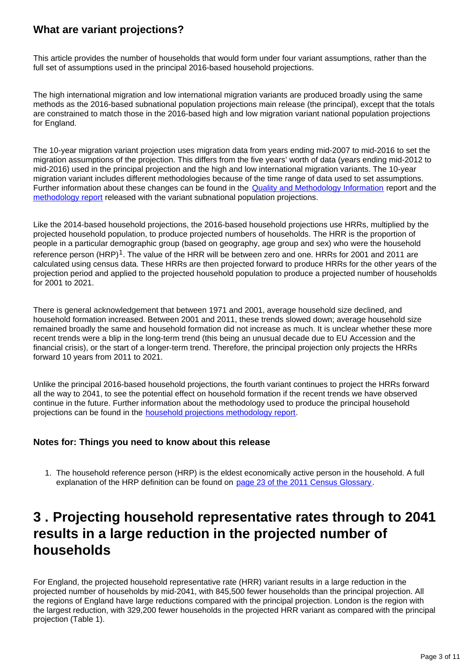#### **What are variant projections?**

This article provides the number of households that would form under four variant assumptions, rather than the full set of assumptions used in the principal 2016-based household projections.

The high international migration and low international migration variants are produced broadly using the same methods as the 2016-based subnational population projections main release (the principal), except that the totals are constrained to match those in the 2016-based high and low migration variant national population projections for England.

The 10-year migration variant projection uses migration data from years ending mid-2007 to mid-2016 to set the migration assumptions of the projection. This differs from the five years' worth of data (years ending mid-2012 to mid-2016) used in the principal projection and the high and low international migration variants. The 10-year migration variant includes different methodologies because of the time range of data used to set assumptions. Further information about these changes can be found in the [Quality and Methodology Information](https://www.ons.gov.uk/peoplepopulationandcommunity/populationandmigration/populationprojections/methodologies/subnationalpopulationprojectionsqmi) report and the [methodology report](https://www.ons.gov.uk/peoplepopulationandcommunity/populationandmigration/populationprojections/methodologies/methodologyusedtoproducethe2016basedsubnationalpopulationprojectionsforengland) released with the variant subnational population projections.

Like the 2014-based household projections, the 2016-based household projections use HRRs, multiplied by the projected household population, to produce projected numbers of households. The HRR is the proportion of people in a particular demographic group (based on geography, age group and sex) who were the household reference person (HRP)<sup>1</sup>. The value of the HRR will be between zero and one. HRRs for 2001 and 2011 are calculated using census data. These HRRs are then projected forward to produce HRRs for the other years of the projection period and applied to the projected household population to produce a projected number of households for 2001 to 2021.

There is general acknowledgement that between 1971 and 2001, average household size declined, and household formation increased. Between 2001 and 2011, these trends slowed down; average household size remained broadly the same and household formation did not increase as much. It is unclear whether these more recent trends were a blip in the long-term trend (this being an unusual decade due to EU Accession and the financial crisis), or the start of a longer-term trend. Therefore, the principal projection only projects the HRRs forward 10 years from 2011 to 2021.

Unlike the principal 2016-based household projections, the fourth variant continues to project the HRRs forward all the way to 2041, to see the potential effect on household formation if the recent trends we have observed continue in the future. Further information about the methodology used to produce the principal household projections can be found in the [household projections methodology report.](https://www.ons.gov.uk/peoplepopulationandcommunity/populationandmigration/populationprojections/methodologies/methodologyusedtoproducehouseholdprojectionsforengland2016based)

#### **Notes for: Things you need to know about this release**

1. The household reference person (HRP) is the eldest economically active person in the household. A full explanation of the HRP definition can be found on [page 23 of the 2011 Census Glossary.](https://www.ons.gov.uk/census/2011census/2011censusdata/2011censususerguide/glossary)

### <span id="page-2-0"></span>**3 . Projecting household representative rates through to 2041 results in a large reduction in the projected number of households**

For England, the projected household representative rate (HRR) variant results in a large reduction in the projected number of households by mid-2041, with 845,500 fewer households than the principal projection. All the regions of England have large reductions compared with the principal projection. London is the region with the largest reduction, with 329,200 fewer households in the projected HRR variant as compared with the principal projection (Table 1).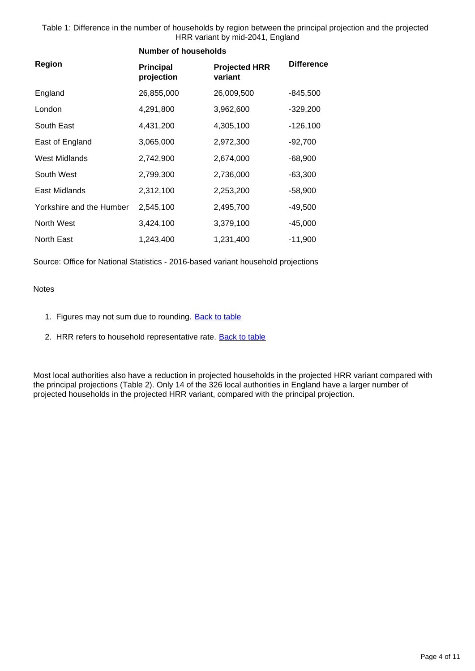Table 1: Difference in the number of households by region between the principal projection and the projected HRR variant by mid-2041, England

|                          | <b>Number of households</b>    |                                 |                   |
|--------------------------|--------------------------------|---------------------------------|-------------------|
| Region                   | <b>Principal</b><br>projection | <b>Projected HRR</b><br>variant | <b>Difference</b> |
| England                  | 26,855,000                     | 26,009,500                      | -845,500          |
| London                   | 4,291,800                      | 3,962,600                       | $-329,200$        |
| South East               | 4,431,200                      | 4,305,100                       | $-126,100$        |
| East of England          | 3,065,000                      | 2,972,300                       | $-92,700$         |
| West Midlands            | 2,742,900                      | 2,674,000                       | $-68,900$         |
| South West               | 2,799,300                      | 2,736,000                       | $-63,300$         |
| East Midlands            | 2,312,100                      | 2,253,200                       | $-58,900$         |
| Yorkshire and the Humber | 2,545,100                      | 2,495,700                       | -49,500           |
| North West               | 3,424,100                      | 3,379,100                       | $-45,000$         |
| North East               | 1,243,400                      | 1,231,400                       | $-11,900$         |

Source: Office for National Statistics - 2016-based variant household projections

Notes

- 1. Figures may not sum due to rounding. **[Back to table](#page-0-0)**
- 2. HRR refers to household representative rate. **[Back to table](#page-0-0)**

Most local authorities also have a reduction in projected households in the projected HRR variant compared with the principal projections (Table 2). Only 14 of the 326 local authorities in England have a larger number of projected households in the projected HRR variant, compared with the principal projection.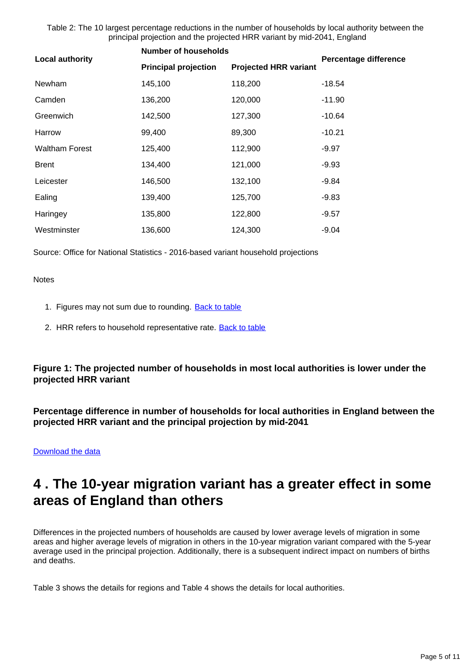Table 2: The 10 largest percentage reductions in the number of households by local authority between the principal projection and the projected HRR variant by mid-2041, England

| <b>Local authority</b> | <b>Number of households</b> | <b>Percentage difference</b> |          |
|------------------------|-----------------------------|------------------------------|----------|
|                        | <b>Principal projection</b> | <b>Projected HRR variant</b> |          |
| Newham                 | 145,100                     | 118,200                      | -18.54   |
| Camden                 | 136,200                     | 120,000                      | $-11.90$ |
| Greenwich              | 142,500                     | 127,300                      | -10.64   |
| Harrow                 | 99,400                      | 89,300                       | $-10.21$ |
| <b>Waltham Forest</b>  | 125,400                     | 112,900                      | -9.97    |
| <b>Brent</b>           | 134,400                     | 121,000                      | -9.93    |
| Leicester              | 146,500                     | 132,100                      | $-9.84$  |
| Ealing                 | 139,400                     | 125,700                      | $-9.83$  |
| Haringey               | 135,800                     | 122,800                      | $-9.57$  |
| Westminster            | 136,600                     | 124,300                      | $-9.04$  |

Source: Office for National Statistics - 2016-based variant household projections

**Notes** 

- 1. Figures may not sum due to rounding. **[Back to table](#page-0-0)**
- 2. HRR refers to household representative rate. **[Back to table](#page-0-0)**

**Figure 1: The projected number of households in most local authorities is lower under the projected HRR variant**

**Percentage difference in number of households for local authorities in England between the projected HRR variant and the principal projection by mid-2041**

[Download the data](https://www.ons.gov.uk/visualisations/dvc624/la_map/variant_comparison_map.csv)

### <span id="page-4-0"></span>**4 . The 10-year migration variant has a greater effect in some areas of England than others**

Differences in the projected numbers of households are caused by lower average levels of migration in some areas and higher average levels of migration in others in the 10-year migration variant compared with the 5-year average used in the principal projection. Additionally, there is a subsequent indirect impact on numbers of births and deaths.

Table 3 shows the details for regions and Table 4 shows the details for local authorities.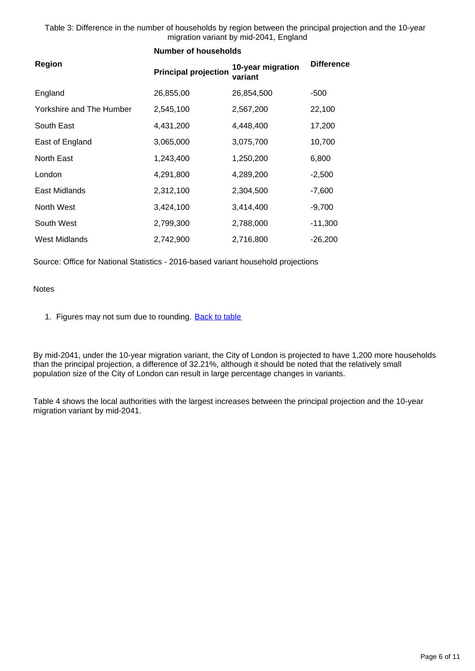Table 3: Difference in the number of households by region between the principal projection and the 10-year migration variant by mid-2041, England

|                          | <b>Number of households</b> |                              |                   |
|--------------------------|-----------------------------|------------------------------|-------------------|
| <b>Region</b>            | <b>Principal projection</b> | 10-year migration<br>variant | <b>Difference</b> |
| England                  | 26,855,00                   | 26,854,500                   | $-500$            |
| Yorkshire and The Humber | 2,545,100                   | 2,567,200                    | 22,100            |
| South East               | 4,431,200                   | 4,448,400                    | 17,200            |
| East of England          | 3,065,000                   | 3,075,700                    | 10,700            |
| North East               | 1,243,400                   | 1,250,200                    | 6,800             |
| London                   | 4,291,800                   | 4,289,200                    | $-2,500$          |
| East Midlands            | 2,312,100                   | 2,304,500                    | $-7,600$          |
| North West               | 3,424,100                   | 3,414,400                    | $-9,700$          |
| South West               | 2,799,300                   | 2,788,000                    | $-11,300$         |
| <b>West Midlands</b>     | 2,742,900                   | 2,716,800                    | $-26,200$         |

Source: Office for National Statistics - 2016-based variant household projections

**Notes** 

1. Figures may not sum due to rounding. **[Back to table](#page-0-0)** 

By mid-2041, under the 10-year migration variant, the City of London is projected to have 1,200 more households than the principal projection, a difference of 32.21%, although it should be noted that the relatively small population size of the City of London can result in large percentage changes in variants.

Table 4 shows the local authorities with the largest increases between the principal projection and the 10-year migration variant by mid-2041.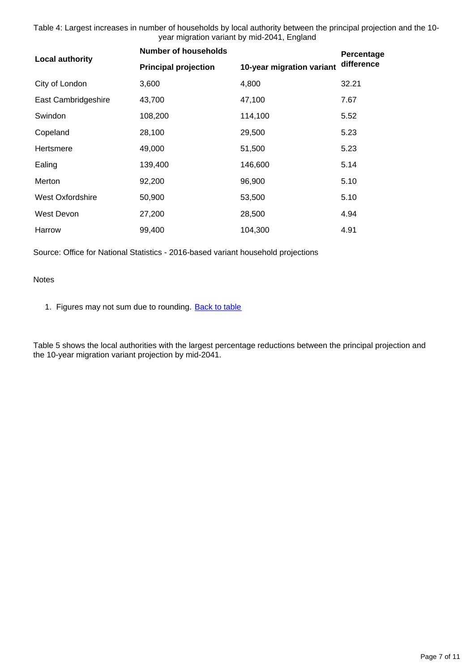Table 4: Largest increases in number of households by local authority between the principal projection and the 10 year migration variant by mid-2041, England

| <b>Local authority</b> | <b>Number of households</b> | Percentage                |            |  |
|------------------------|-----------------------------|---------------------------|------------|--|
|                        | <b>Principal projection</b> | 10-year migration variant | difference |  |
| City of London         | 3,600                       | 4,800                     | 32.21      |  |
| East Cambridgeshire    | 43,700                      | 47,100                    | 7.67       |  |
| Swindon                | 108,200                     | 114,100                   | 5.52       |  |
| Copeland               | 28,100                      | 29,500                    | 5.23       |  |
| Hertsmere              | 49,000                      | 51,500                    | 5.23       |  |
| Ealing                 | 139,400                     | 146,600                   | 5.14       |  |
| Merton                 | 92,200                      | 96,900                    | 5.10       |  |
| West Oxfordshire       | 50,900                      | 53,500                    | 5.10       |  |
| West Devon             | 27,200                      | 28,500                    | 4.94       |  |
| Harrow                 | 99,400                      | 104,300                   | 4.91       |  |

Source: Office for National Statistics - 2016-based variant household projections

Notes

1. Figures may not sum due to rounding. **[Back to table](#page-0-0)** 

Table 5 shows the local authorities with the largest percentage reductions between the principal projection and the 10-year migration variant projection by mid-2041.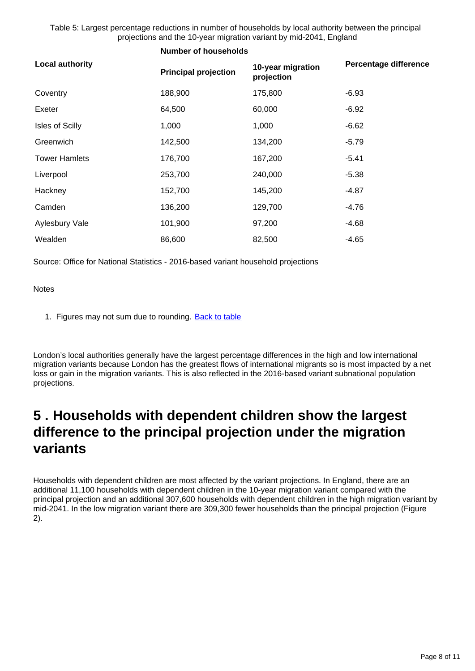Table 5: Largest percentage reductions in number of households by local authority between the principal projections and the 10-year migration variant by mid-2041, England

|                        |                             | <b>Number of households</b>     |                              |  |
|------------------------|-----------------------------|---------------------------------|------------------------------|--|
| <b>Local authority</b> | <b>Principal projection</b> | 10-year migration<br>projection | <b>Percentage difference</b> |  |
| Coventry               | 188,900                     | 175,800                         | $-6.93$                      |  |
| Exeter                 | 64,500                      | 60,000                          | $-6.92$                      |  |
| <b>Isles of Scilly</b> | 1,000                       | 1,000                           | $-6.62$                      |  |
| Greenwich              | 142,500                     | 134,200                         | $-5.79$                      |  |
| <b>Tower Hamlets</b>   | 176,700                     | 167,200                         | -5.41                        |  |
| Liverpool              | 253,700                     | 240,000                         | $-5.38$                      |  |
| Hackney                | 152,700                     | 145,200                         | -4.87                        |  |
| Camden                 | 136,200                     | 129,700                         | -4.76                        |  |
| Aylesbury Vale         | 101,900                     | 97,200                          | -4.68                        |  |
| Wealden                | 86,600                      | 82,500                          | -4.65                        |  |

Source: Office for National Statistics - 2016-based variant household projections

**Notes** 

1. Figures may not sum due to rounding. **[Back to table](#page-0-0)** 

London's local authorities generally have the largest percentage differences in the high and low international migration variants because London has the greatest flows of international migrants so is most impacted by a net loss or gain in the migration variants. This is also reflected in the 2016-based variant subnational population projections.

### <span id="page-7-0"></span>**5 . Households with dependent children show the largest difference to the principal projection under the migration variants**

Households with dependent children are most affected by the variant projections. In England, there are an additional 11,100 households with dependent children in the 10-year migration variant compared with the principal projection and an additional 307,600 households with dependent children in the high migration variant by mid-2041. In the low migration variant there are 309,300 fewer households than the principal projection (Figure 2).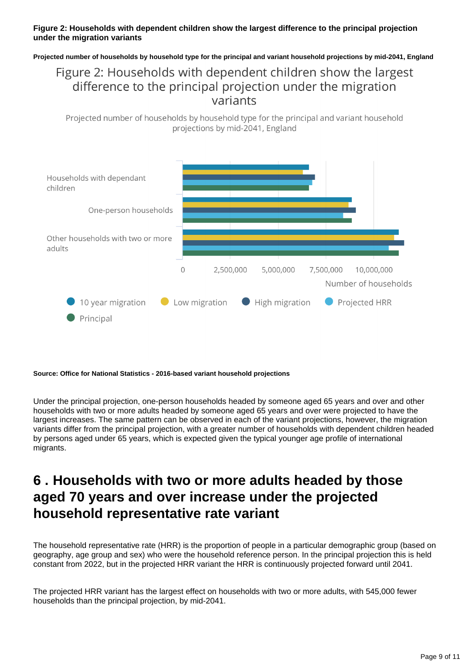#### **Figure 2: Households with dependent children show the largest difference to the principal projection under the migration variants**

**Projected number of households by household type for the principal and variant household projections by mid-2041, England**

### Figure 2: Households with dependent children show the largest difference to the principal projection under the migration variants

Projected number of households by household type for the principal and variant household projections by mid-2041, England



#### **Source: Office for National Statistics - 2016-based variant household projections**

Under the principal projection, one-person households headed by someone aged 65 years and over and other households with two or more adults headed by someone aged 65 years and over were projected to have the largest increases. The same pattern can be observed in each of the variant projections, however, the migration variants differ from the principal projection, with a greater number of households with dependent children headed by persons aged under 65 years, which is expected given the typical younger age profile of international migrants.

### <span id="page-8-0"></span>**6 . Households with two or more adults headed by those aged 70 years and over increase under the projected household representative rate variant**

The household representative rate (HRR) is the proportion of people in a particular demographic group (based on geography, age group and sex) who were the household reference person. In the principal projection this is held constant from 2022, but in the projected HRR variant the HRR is continuously projected forward until 2041.

The projected HRR variant has the largest effect on households with two or more adults, with 545,000 fewer households than the principal projection, by mid-2041.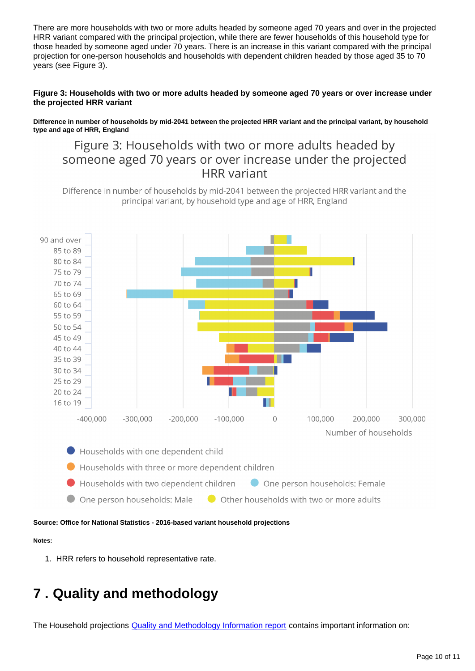There are more households with two or more adults headed by someone aged 70 years and over in the projected HRR variant compared with the principal projection, while there are fewer households of this household type for those headed by someone aged under 70 years. There is an increase in this variant compared with the principal projection for one-person households and households with dependent children headed by those aged 35 to 70 years (see Figure 3).

#### **Figure 3: Households with two or more adults headed by someone aged 70 years or over increase under the projected HRR variant**

**Difference in number of households by mid-2041 between the projected HRR variant and the principal variant, by household type and age of HRR, England**

### Figure 3: Households with two or more adults headed by someone aged 70 years or over increase under the projected **HRR** variant

Difference in number of households by mid-2041 between the projected HRR variant and the principal variant, by household type and age of HRR, England



**Source: Office for National Statistics - 2016-based variant household projections**

#### **Notes:**

1. HRR refers to household representative rate.

# <span id="page-9-0"></span>**7 . Quality and methodology**

The Household projections **[Quality and Methodology Information report](https://www.ons.gov.uk/peoplepopulationandcommunity/populationandmigration/populationprojections/methodologies/householdprojectionsinenglandqmi)** contains important information on: